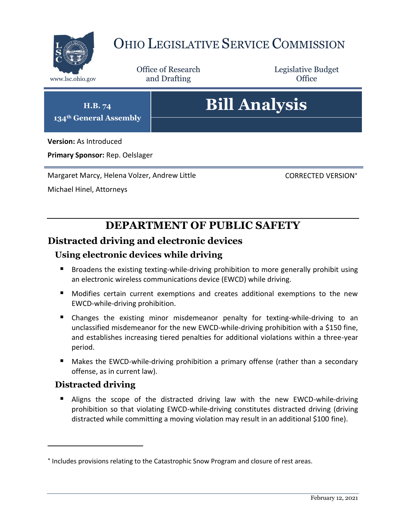

# OHIO LEGISLATIVE SERVICE COMMISSION

Office of Research www.lsc.ohio.gov **and Drafting Office** 

Legislative Budget

**H.B. 74 134th General Assembly**

# **Bill Analysis**

**Version:** As Introduced

**Primary Sponsor:** Rep. Oelslager

Margaret Marcy, Helena Volzer, Andrew Little

CORRECTED VERSION

Michael Hinel, Attorneys

# **DEPARTMENT OF PUBLIC SAFETY**

# **Distracted driving and electronic devices**

# **Using electronic devices while driving**

- Broadens the existing texting-while-driving prohibition to more generally prohibit using an electronic wireless communications device (EWCD) while driving.
- Modifies certain current exemptions and creates additional exemptions to the new EWCD-while-driving prohibition.
- Changes the existing minor misdemeanor penalty for texting-while-driving to an unclassified misdemeanor for the new EWCD-while-driving prohibition with a \$150 fine, and establishes increasing tiered penalties for additional violations within a three-year period.
- Makes the EWCD-while-driving prohibition a primary offense (rather than a secondary offense, as in current law).

### **Distracted driving**

 $\overline{a}$ 

 Aligns the scope of the distracted driving law with the new EWCD-while-driving prohibition so that violating EWCD-while-driving constitutes distracted driving (driving distracted while committing a moving violation may result in an additional \$100 fine).

<sup>\*</sup> Includes provisions relating to the Catastrophic Snow Program and closure of rest areas.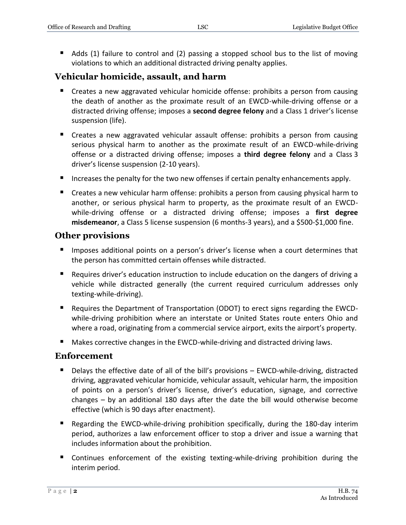Adds (1) failure to control and (2) passing a stopped school bus to the list of moving violations to which an additional distracted driving penalty applies.

### **Vehicular homicide, assault, and harm**

- Creates a new aggravated vehicular homicide offense: prohibits a person from causing the death of another as the proximate result of an EWCD-while-driving offense or a distracted driving offense; imposes a **second degree felony** and a Class 1 driver's license suspension (life).
- Creates a new aggravated vehicular assault offense: prohibits a person from causing serious physical harm to another as the proximate result of an EWCD-while-driving offense or a distracted driving offense; imposes a **third degree felony** and a Class 3 driver's license suspension (2-10 years).
- Increases the penalty for the two new offenses if certain penalty enhancements apply.
- Creates a new vehicular harm offense: prohibits a person from causing physical harm to another, or serious physical harm to property, as the proximate result of an EWCDwhile-driving offense or a distracted driving offense; imposes a **first degree misdemeanor**, a Class 5 license suspension (6 months-3 years), and a \$500-\$1,000 fine.

#### **Other provisions**

- **IMPOLER 4.5 Imposes additional points on a person's driver's license when a court determines that** the person has committed certain offenses while distracted.
- **Requires driver's education instruction to include education on the dangers of driving a** vehicle while distracted generally (the current required curriculum addresses only texting-while-driving).
- Requires the Department of Transportation (ODOT) to erect signs regarding the EWCDwhile-driving prohibition where an interstate or United States route enters Ohio and where a road, originating from a commercial service airport, exits the airport's property.
- Makes corrective changes in the EWCD-while-driving and distracted driving laws.

#### **Enforcement**

- Delays the effective date of all of the bill's provisions EWCD-while-driving, distracted driving, aggravated vehicular homicide, vehicular assault, vehicular harm, the imposition of points on a person's driver's license, driver's education, signage, and corrective changes – by an additional 180 days after the date the bill would otherwise become effective (which is 90 days after enactment).
- Regarding the EWCD-while-driving prohibition specifically, during the 180-day interim period, authorizes a law enforcement officer to stop a driver and issue a warning that includes information about the prohibition.
- Continues enforcement of the existing texting-while-driving prohibition during the interim period.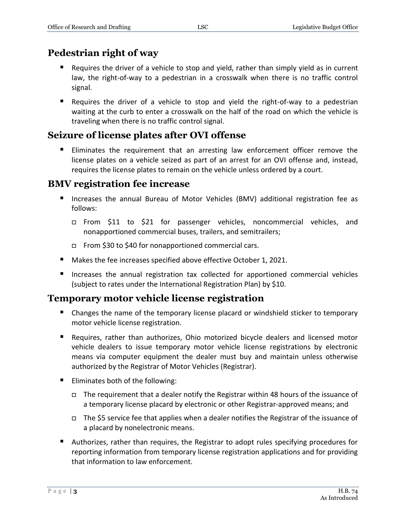# **Pedestrian right of way**

- Requires the driver of a vehicle to stop and yield, rather than simply yield as in current law, the right-of-way to a pedestrian in a crosswalk when there is no traffic control signal.
- Requires the driver of a vehicle to stop and yield the right-of-way to a pedestrian waiting at the curb to enter a crosswalk on the half of the road on which the vehicle is traveling when there is no traffic control signal.

# **Seizure of license plates after OVI offense**

 Eliminates the requirement that an arresting law enforcement officer remove the license plates on a vehicle seized as part of an arrest for an OVI offense and, instead, requires the license plates to remain on the vehicle unless ordered by a court.

# **BMV registration fee increase**

- Increases the annual Bureau of Motor Vehicles (BMV) additional registration fee as follows:
	- □ From \$11 to \$21 for passenger vehicles, noncommercial vehicles, and nonapportioned commercial buses, trailers, and semitrailers;
	- From \$30 to \$40 for nonapportioned commercial cars.
- Makes the fee increases specified above effective October 1, 2021.
- Increases the annual registration tax collected for apportioned commercial vehicles (subject to rates under the International Registration Plan) by \$10.

# **Temporary motor vehicle license registration**

- Changes the name of the temporary license placard or windshield sticker to temporary motor vehicle license registration.
- Requires, rather than authorizes, Ohio motorized bicycle dealers and licensed motor vehicle dealers to issue temporary motor vehicle license registrations by electronic means via computer equipment the dealer must buy and maintain unless otherwise authorized by the Registrar of Motor Vehicles (Registrar).
- **Eliminates both of the following:** 
	- $\Box$  The requirement that a dealer notify the Registrar within 48 hours of the issuance of a temporary license placard by electronic or other Registrar-approved means; and
	- The \$5 service fee that applies when a dealer notifies the Registrar of the issuance of a placard by nonelectronic means.
- Authorizes, rather than requires, the Registrar to adopt rules specifying procedures for reporting information from temporary license registration applications and for providing that information to law enforcement.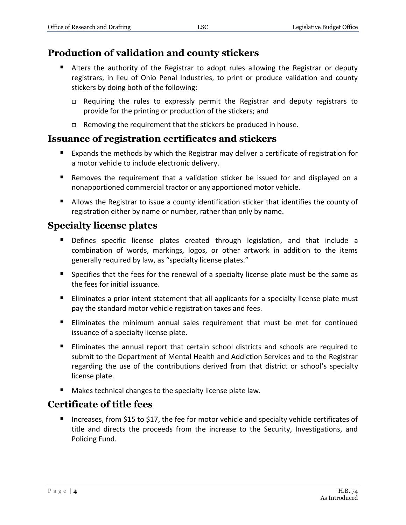# **Production of validation and county stickers**

- Alters the authority of the Registrar to adopt rules allowing the Registrar or deputy registrars, in lieu of Ohio Penal Industries, to print or produce validation and county stickers by doing both of the following:
	- Requiring the rules to expressly permit the Registrar and deputy registrars to provide for the printing or production of the stickers; and
	- $\Box$  Removing the requirement that the stickers be produced in house.

# **Issuance of registration certificates and stickers**

- Expands the methods by which the Registrar may deliver a certificate of registration for a motor vehicle to include electronic delivery.
- Removes the requirement that a validation sticker be issued for and displayed on a nonapportioned commercial tractor or any apportioned motor vehicle.
- Allows the Registrar to issue a county identification sticker that identifies the county of registration either by name or number, rather than only by name.

# **Specialty license plates**

- **Defines specific license plates created through legislation, and that include a** combination of words, markings, logos, or other artwork in addition to the items generally required by law, as "specialty license plates."
- **Specifies that the fees for the renewal of a specialty license plate must be the same as** the fees for initial issuance.
- **Eliminates a prior intent statement that all applicants for a specialty license plate must** pay the standard motor vehicle registration taxes and fees.
- Eliminates the minimum annual sales requirement that must be met for continued issuance of a specialty license plate.
- Eliminates the annual report that certain school districts and schools are required to submit to the Department of Mental Health and Addiction Services and to the Registrar regarding the use of the contributions derived from that district or school's specialty license plate.
- **Makes technical changes to the specialty license plate law.**

# **Certificate of title fees**

■ Increases, from \$15 to \$17, the fee for motor vehicle and specialty vehicle certificates of title and directs the proceeds from the increase to the Security, Investigations, and Policing Fund.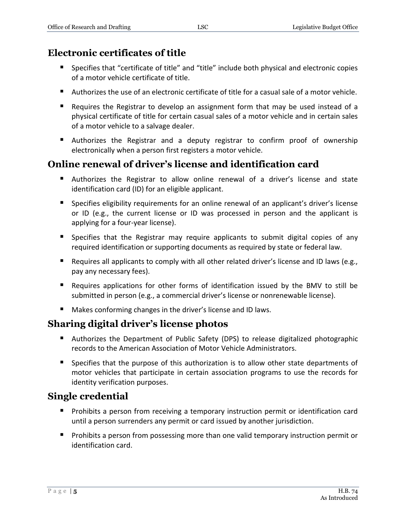# **Electronic certificates of title**

- **Specifies that "certificate of title" and "title" include both physical and electronic copies** of a motor vehicle certificate of title.
- Authorizes the use of an electronic certificate of title for a casual sale of a motor vehicle.
- **Requires the Registrar to develop an assignment form that may be used instead of a** physical certificate of title for certain casual sales of a motor vehicle and in certain sales of a motor vehicle to a salvage dealer.
- Authorizes the Registrar and a deputy registrar to confirm proof of ownership electronically when a person first registers a motor vehicle.

# **Online renewal of driver's license and identification card**

- Authorizes the Registrar to allow online renewal of a driver's license and state identification card (ID) for an eligible applicant.
- **Specifies eligibility requirements for an online renewal of an applicant's driver's license** or ID (e.g., the current license or ID was processed in person and the applicant is applying for a four-year license).
- Specifies that the Registrar may require applicants to submit digital copies of any required identification or supporting documents as required by state or federal law.
- **E** Requires all applicants to comply with all other related driver's license and ID laws (e.g., pay any necessary fees).
- Requires applications for other forms of identification issued by the BMV to still be submitted in person (e.g., a commercial driver's license or nonrenewable license).
- Makes conforming changes in the driver's license and ID laws.

# **Sharing digital driver's license photos**

- Authorizes the Department of Public Safety (DPS) to release digitalized photographic records to the American Association of Motor Vehicle Administrators.
- **Specifies that the purpose of this authorization is to allow other state departments of** motor vehicles that participate in certain association programs to use the records for identity verification purposes.

# **Single credential**

- **Prohibits a person from receiving a temporary instruction permit or identification card** until a person surrenders any permit or card issued by another jurisdiction.
- **Prohibits a person from possessing more than one valid temporary instruction permit or** identification card.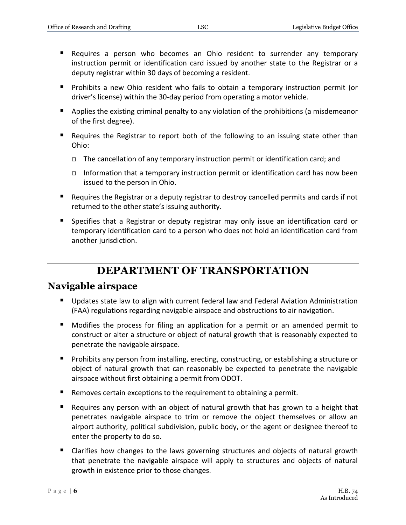- Requires a person who becomes an Ohio resident to surrender any temporary instruction permit or identification card issued by another state to the Registrar or a deputy registrar within 30 days of becoming a resident.
- **Prohibits a new Ohio resident who fails to obtain a temporary instruction permit (or** driver's license) within the 30-day period from operating a motor vehicle.
- Applies the existing criminal penalty to any violation of the prohibitions (a misdemeanor of the first degree).
- Requires the Registrar to report both of the following to an issuing state other than Ohio:
	- $\Box$  The cancellation of any temporary instruction permit or identification card; and
	- Information that a temporary instruction permit or identification card has now been issued to the person in Ohio.
- Requires the Registrar or a deputy registrar to destroy cancelled permits and cards if not returned to the other state's issuing authority.
- Specifies that a Registrar or deputy registrar may only issue an identification card or temporary identification card to a person who does not hold an identification card from another jurisdiction.

# **DEPARTMENT OF TRANSPORTATION**

# **Navigable airspace**

- Updates state law to align with current federal law and Federal Aviation Administration (FAA) regulations regarding navigable airspace and obstructions to air navigation.
- Modifies the process for filing an application for a permit or an amended permit to construct or alter a structure or object of natural growth that is reasonably expected to penetrate the navigable airspace.
- **Prohibits any person from installing, erecting, constructing, or establishing a structure or** object of natural growth that can reasonably be expected to penetrate the navigable airspace without first obtaining a permit from ODOT.
- Removes certain exceptions to the requirement to obtaining a permit.
- Requires any person with an object of natural growth that has grown to a height that penetrates navigable airspace to trim or remove the object themselves or allow an airport authority, political subdivision, public body, or the agent or designee thereof to enter the property to do so.
- Clarifies how changes to the laws governing structures and objects of natural growth that penetrate the navigable airspace will apply to structures and objects of natural growth in existence prior to those changes.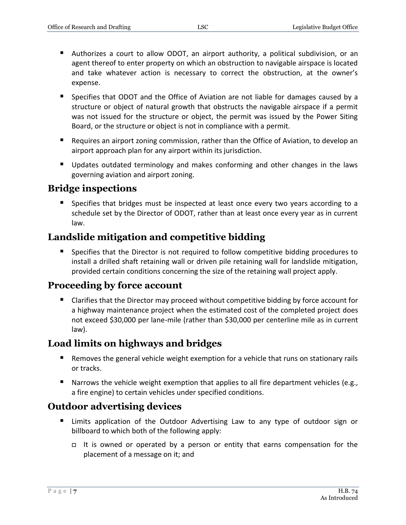- Authorizes a court to allow ODOT, an airport authority, a political subdivision, or an agent thereof to enter property on which an obstruction to navigable airspace is located and take whatever action is necessary to correct the obstruction, at the owner's expense.
- Specifies that ODOT and the Office of Aviation are not liable for damages caused by a structure or object of natural growth that obstructs the navigable airspace if a permit was not issued for the structure or object, the permit was issued by the Power Siting Board, or the structure or object is not in compliance with a permit.
- **Requires an airport zoning commission, rather than the Office of Aviation, to develop an** airport approach plan for any airport within its jurisdiction.
- Updates outdated terminology and makes conforming and other changes in the laws governing aviation and airport zoning.

# **Bridge inspections**

 Specifies that bridges must be inspected at least once every two years according to a schedule set by the Director of ODOT, rather than at least once every year as in current law.

# **Landslide mitigation and competitive bidding**

 Specifies that the Director is not required to follow competitive bidding procedures to install a drilled shaft retaining wall or driven pile retaining wall for landslide mitigation, provided certain conditions concerning the size of the retaining wall project apply.

# **Proceeding by force account**

■ Clarifies that the Director may proceed without competitive bidding by force account for a highway maintenance project when the estimated cost of the completed project does not exceed \$30,000 per lane-mile (rather than \$30,000 per centerline mile as in current law).

# **Load limits on highways and bridges**

- Removes the general vehicle weight exemption for a vehicle that runs on stationary rails or tracks.
- Narrows the vehicle weight exemption that applies to all fire department vehicles (e.g., a fire engine) to certain vehicles under specified conditions.

# **Outdoor advertising devices**

- Limits application of the Outdoor Advertising Law to any type of outdoor sign or billboard to which both of the following apply:
	- It is owned or operated by a person or entity that earns compensation for the placement of a message on it; and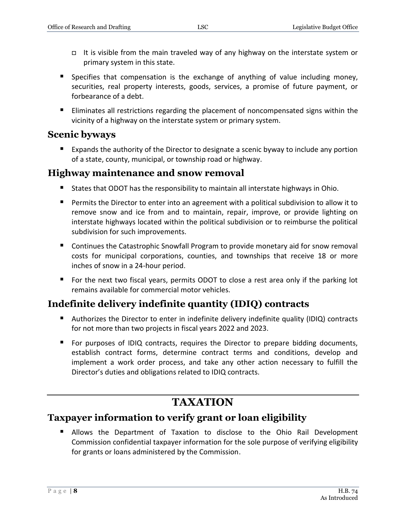- It is visible from the main traveled way of any highway on the interstate system or primary system in this state.
- **Specifies that compensation is the exchange of anything of value including money,** securities, real property interests, goods, services, a promise of future payment, or forbearance of a debt.
- **Eliminates all restrictions regarding the placement of noncompensated signs within the** vicinity of a highway on the interstate system or primary system.

# **Scenic byways**

**EXPALARED EXPANDED** Expands the authority of the Director to designate a scenic byway to include any portion of a state, county, municipal, or township road or highway.

### **Highway maintenance and snow removal**

- States that ODOT has the responsibility to maintain all interstate highways in Ohio.
- **Permits the Director to enter into an agreement with a political subdivision to allow it to** remove snow and ice from and to maintain, repair, improve, or provide lighting on interstate highways located within the political subdivision or to reimburse the political subdivision for such improvements.
- Continues the Catastrophic Snowfall Program to provide monetary aid for snow removal costs for municipal corporations, counties, and townships that receive 18 or more inches of snow in a 24-hour period.
- **For the next two fiscal years, permits ODOT to close a rest area only if the parking lot** remains available for commercial motor vehicles.

# **Indefinite delivery indefinite quantity (IDIQ) contracts**

- Authorizes the Director to enter in indefinite delivery indefinite quality (IDIQ) contracts for not more than two projects in fiscal years 2022 and 2023.
- For purposes of IDIQ contracts, requires the Director to prepare bidding documents, establish contract forms, determine contract terms and conditions, develop and implement a work order process, and take any other action necessary to fulfill the Director's duties and obligations related to IDIQ contracts.

# **TAXATION**

# **Taxpayer information to verify grant or loan eligibility**

 Allows the Department of Taxation to disclose to the Ohio Rail Development Commission confidential taxpayer information for the sole purpose of verifying eligibility for grants or loans administered by the Commission.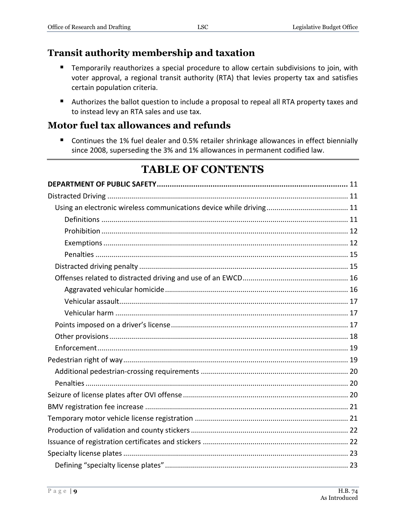# **Transit authority membership and taxation**

- Temporarily reauthorizes a special procedure to allow certain subdivisions to join, with voter approval, a regional transit authority (RTA) that levies property tax and satisfies certain population criteria.
- Authorizes the ballot question to include a proposal to repeal all RTA property taxes and to instead levy an RTA sales and use tax.

# **Motor fuel tax allowances and refunds**

■ Continues the 1% fuel dealer and 0.5% retailer shrinkage allowances in effect biennially since 2008, superseding the 3% and 1% allowances in permanent codified law.

# **TABLE OF CONTENTS**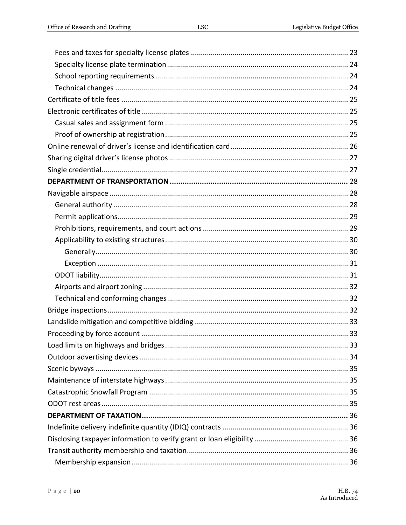| 33. |
|-----|
|     |
|     |
|     |
|     |
|     |
|     |
|     |
|     |
|     |
|     |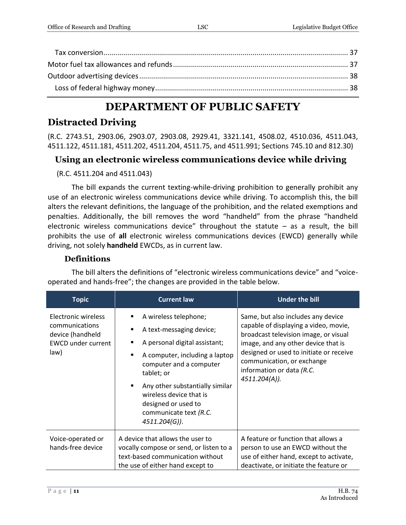# **DEPARTMENT OF PUBLIC SAFETY**

# <span id="page-10-0"></span>**Distracted Driving**

(R.C. 2743.51, 2903.06, 2903.07, 2903.08, 2929.41, 3321.141, 4508.02, 4510.036, 4511.043, 4511.122, 4511.181, 4511.202, 4511.204, 4511.75, and 4511.991; Sections 745.10 and 812.30)

# <span id="page-10-1"></span>**Using an electronic wireless communications device while driving**

(R.C. 4511.204 and 4511.043)

The bill expands the current texting-while-driving prohibition to generally prohibit any use of an electronic wireless communications device while driving. To accomplish this, the bill alters the relevant definitions, the language of the prohibition, and the related exemptions and penalties. Additionally, the bill removes the word "handheld" from the phrase "handheld electronic wireless communications device" throughout the statute  $-$  as a result, the bill prohibits the use of **all** electronic wireless communications devices (EWCD) generally while driving, not solely **handheld** EWCDs, as in current law.

### **Definitions**

<span id="page-10-2"></span>The bill alters the definitions of "electronic wireless communications device" and "voiceoperated and hands-free"; the changes are provided in the table below.

| <b>Topic</b>                                                                                   | <b>Current law</b>                                                                                                                                                                                                                                                                                                                                            | <b>Under the bill</b>                                                                                                                                                                                                                                                              |
|------------------------------------------------------------------------------------------------|---------------------------------------------------------------------------------------------------------------------------------------------------------------------------------------------------------------------------------------------------------------------------------------------------------------------------------------------------------------|------------------------------------------------------------------------------------------------------------------------------------------------------------------------------------------------------------------------------------------------------------------------------------|
| Electronic wireless<br>communications<br>device (handheld<br><b>EWCD under current</b><br>law) | A wireless telephone;<br>٠<br>A text-messaging device;<br>$\blacksquare$<br>A personal digital assistant;<br>٠<br>A computer, including a laptop<br>$\blacksquare$<br>computer and a computer<br>tablet; or<br>Any other substantially similar<br>$\blacksquare$<br>wireless device that is<br>designed or used to<br>communicate text (R.C.<br>4511.204(G)). | Same, but also includes any device<br>capable of displaying a video, movie,<br>broadcast television image, or visual<br>image, and any other device that is<br>designed or used to initiate or receive<br>communication, or exchange<br>information or data (R.C.<br>4511.204(A)). |
| Voice-operated or<br>hands-free device                                                         | A device that allows the user to<br>vocally compose or send, or listen to a<br>text-based communication without<br>the use of either hand except to                                                                                                                                                                                                           | A feature or function that allows a<br>person to use an EWCD without the<br>use of either hand, except to activate,<br>deactivate, or initiate the feature or                                                                                                                      |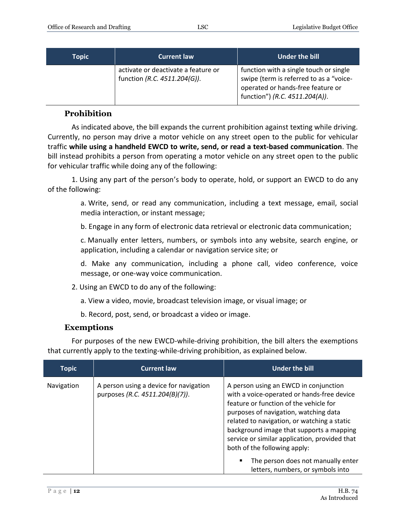| <b>Topic</b> | <b>Current law</b>                                                  | Under the bill                                                                                                                                           |
|--------------|---------------------------------------------------------------------|----------------------------------------------------------------------------------------------------------------------------------------------------------|
|              | activate or deactivate a feature or<br>function (R.C. 4511.204(G)). | function with a single touch or single<br>swipe (term is referred to as a "voice-<br>operated or hands-free feature or<br>function") (R.C. 4511.204(A)). |

#### **Prohibition**

<span id="page-11-0"></span>As indicated above, the bill expands the current prohibition against texting while driving. Currently, no person may drive a motor vehicle on any street open to the public for vehicular traffic **while using a handheld EWCD to write, send, or read a text-based communication**. The bill instead prohibits a person from operating a motor vehicle on any street open to the public for vehicular traffic while doing any of the following:

1. Using any part of the person's body to operate, hold, or support an EWCD to do any of the following:

> a. Write, send, or read any communication, including a text message, email, social media interaction, or instant message;

b. Engage in any form of electronic data retrieval or electronic data communication;

c. Manually enter letters, numbers, or symbols into any website, search engine, or application, including a calendar or navigation service site; or

d. Make any communication, including a phone call, video conference, voice message, or one-way voice communication.

- 2. Using an EWCD to do any of the following:
	- a. View a video, movie, broadcast television image, or visual image; or
	- b. Record, post, send, or broadcast a video or image.

#### **Exemptions**

<span id="page-11-1"></span>For purposes of the new EWCD-while-driving prohibition, the bill alters the exemptions that currently apply to the texting-while-driving prohibition, as explained below.

| <b>Topic</b> | <b>Current law</b>                                                        | Under the bill                                                                                                                                                                                                                                                                                                                                     |
|--------------|---------------------------------------------------------------------------|----------------------------------------------------------------------------------------------------------------------------------------------------------------------------------------------------------------------------------------------------------------------------------------------------------------------------------------------------|
| Navigation   | A person using a device for navigation<br>purposes (R.C. 4511.204(B)(7)). | A person using an EWCD in conjunction<br>with a voice-operated or hands-free device<br>feature or function of the vehicle for<br>purposes of navigation, watching data<br>related to navigation, or watching a static<br>background image that supports a mapping<br>service or similar application, provided that<br>both of the following apply: |
|              |                                                                           | The person does not manually enter<br>٠<br>letters, numbers, or symbols into                                                                                                                                                                                                                                                                       |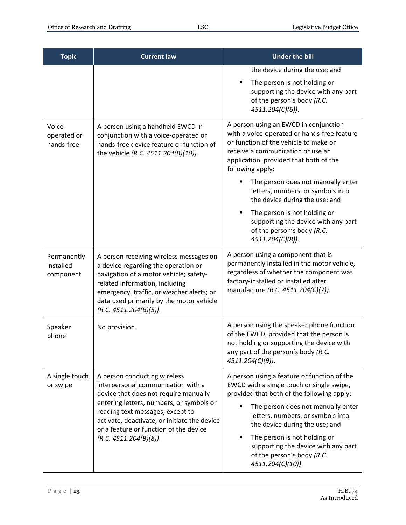| <b>Topic</b>                          | <b>Current law</b>                                                                                                                                                                                                                                                                                              | <b>Under the bill</b>                                                                                                                                                                                                                                                                                                                                                              |
|---------------------------------------|-----------------------------------------------------------------------------------------------------------------------------------------------------------------------------------------------------------------------------------------------------------------------------------------------------------------|------------------------------------------------------------------------------------------------------------------------------------------------------------------------------------------------------------------------------------------------------------------------------------------------------------------------------------------------------------------------------------|
|                                       |                                                                                                                                                                                                                                                                                                                 | the device during the use; and                                                                                                                                                                                                                                                                                                                                                     |
|                                       |                                                                                                                                                                                                                                                                                                                 | The person is not holding or<br>$\blacksquare$<br>supporting the device with any part<br>of the person's body (R.C.<br>4511.204(C)(6)).                                                                                                                                                                                                                                            |
| Voice-<br>operated or<br>hands-free   | A person using a handheld EWCD in<br>conjunction with a voice-operated or<br>hands-free device feature or function of<br>the vehicle (R.C. 4511.204(B)(10)).                                                                                                                                                    | A person using an EWCD in conjunction<br>with a voice-operated or hands-free feature<br>or function of the vehicle to make or<br>receive a communication or use an<br>application, provided that both of the<br>following apply:                                                                                                                                                   |
|                                       |                                                                                                                                                                                                                                                                                                                 | The person does not manually enter<br>letters, numbers, or symbols into<br>the device during the use; and                                                                                                                                                                                                                                                                          |
|                                       |                                                                                                                                                                                                                                                                                                                 | The person is not holding or<br>٠<br>supporting the device with any part<br>of the person's body (R.C.<br>4511.204(C)(8)).                                                                                                                                                                                                                                                         |
| Permanently<br>installed<br>component | A person receiving wireless messages on<br>a device regarding the operation or<br>navigation of a motor vehicle; safety-<br>related information, including<br>emergency, traffic, or weather alerts; or<br>data used primarily by the motor vehicle<br>(R.C. 4511.204(B)(5)).                                   | A person using a component that is<br>permanently installed in the motor vehicle,<br>regardless of whether the component was<br>factory-installed or installed after<br>manufacture (R.C. 4511.204(C)(7)).                                                                                                                                                                         |
| Speaker<br>phone                      | No provision.                                                                                                                                                                                                                                                                                                   | A person using the speaker phone function<br>of the EWCD, provided that the person is<br>not holding or supporting the device with<br>any part of the person's body (R.C.<br>4511.204(C)(9)).                                                                                                                                                                                      |
| A single touch<br>or swipe            | A person conducting wireless<br>interpersonal communication with a<br>device that does not require manually<br>entering letters, numbers, or symbols or<br>reading text messages, except to<br>activate, deactivate, or initiate the device<br>or a feature or function of the device<br>(R.C. 4511.204(B)(8)). | A person using a feature or function of the<br>EWCD with a single touch or single swipe,<br>provided that both of the following apply:<br>The person does not manually enter<br>letters, numbers, or symbols into<br>the device during the use; and<br>The person is not holding or<br>п<br>supporting the device with any part<br>of the person's body (R.C.<br>4511.204(C)(10)). |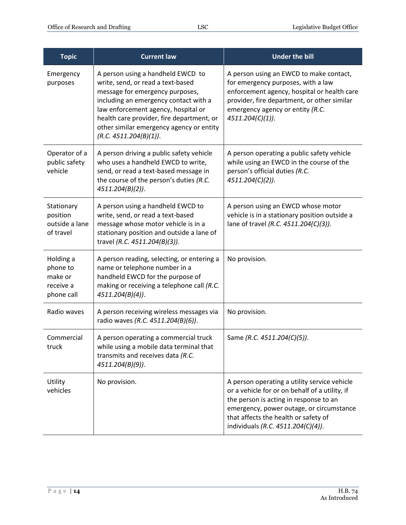| <b>Topic</b>                                                | <b>Current law</b>                                                                                                                                                                                                                                                                                           | <b>Under the bill</b>                                                                                                                                                                                                                                              |
|-------------------------------------------------------------|--------------------------------------------------------------------------------------------------------------------------------------------------------------------------------------------------------------------------------------------------------------------------------------------------------------|--------------------------------------------------------------------------------------------------------------------------------------------------------------------------------------------------------------------------------------------------------------------|
| Emergency<br>purposes                                       | A person using a handheld EWCD to<br>write, send, or read a text-based<br>message for emergency purposes,<br>including an emergency contact with a<br>law enforcement agency, hospital or<br>health care provider, fire department, or<br>other similar emergency agency or entity<br>(R.C. 4511.204(B)(1)). | A person using an EWCD to make contact,<br>for emergency purposes, with a law<br>enforcement agency, hospital or health care<br>provider, fire department, or other similar<br>emergency agency or entity (R.C.<br>4511.204(C)(1)).                                |
| Operator of a<br>public safety<br>vehicle                   | A person driving a public safety vehicle<br>who uses a handheld EWCD to write,<br>send, or read a text-based message in<br>the course of the person's duties (R.C.<br>4511.204(B)(2)).                                                                                                                       | A person operating a public safety vehicle<br>while using an EWCD in the course of the<br>person's official duties (R.C.<br>4511.204(C)(2)).                                                                                                                       |
| Stationary<br>position<br>outside a lane<br>of travel       | A person using a handheld EWCD to<br>write, send, or read a text-based<br>message whose motor vehicle is in a<br>stationary position and outside a lane of<br>travel (R.C. 4511.204(B)(3)).                                                                                                                  | A person using an EWCD whose motor<br>vehicle is in a stationary position outside a<br>lane of travel (R.C. 4511.204(C)(3)).                                                                                                                                       |
| Holding a<br>phone to<br>make or<br>receive a<br>phone call | A person reading, selecting, or entering a<br>name or telephone number in a<br>handheld EWCD for the purpose of<br>making or receiving a telephone call (R.C.<br>$4511.204(B)(4)$ .                                                                                                                          | No provision.                                                                                                                                                                                                                                                      |
| Radio waves                                                 | A person receiving wireless messages via<br>radio waves (R.C. 4511.204(B)(6)).                                                                                                                                                                                                                               | No provision.                                                                                                                                                                                                                                                      |
| Commercial<br>truck                                         | A person operating a commercial truck<br>while using a mobile data terminal that<br>transmits and receives data (R.C.<br>4511.204(B)(9)).                                                                                                                                                                    | Same (R.C. 4511.204(C)(5)).                                                                                                                                                                                                                                        |
| Utility<br>vehicles                                         | No provision.                                                                                                                                                                                                                                                                                                | A person operating a utility service vehicle<br>or a vehicle for or on behalf of a utility, if<br>the person is acting in response to an<br>emergency, power outage, or circumstance<br>that affects the health or safety of<br>individuals (R.C. 4511.204(C)(4)). |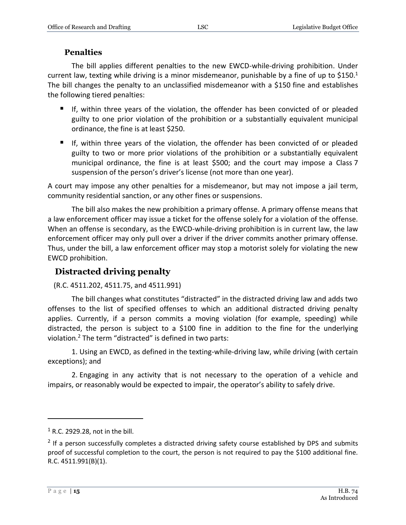### **Penalties**

<span id="page-14-0"></span>The bill applies different penalties to the new EWCD-while-driving prohibition. Under current law, texting while driving is a minor misdemeanor, punishable by a fine of up to \$150.<sup>1</sup> The bill changes the penalty to an unclassified misdemeanor with a \$150 fine and establishes the following tiered penalties:

- If, within three years of the violation, the offender has been convicted of or pleaded guilty to one prior violation of the prohibition or a substantially equivalent municipal ordinance, the fine is at least \$250.
- If, within three years of the violation, the offender has been convicted of or pleaded guilty to two or more prior violations of the prohibition or a substantially equivalent municipal ordinance, the fine is at least \$500; and the court may impose a Class 7 suspension of the person's driver's license (not more than one year).

A court may impose any other penalties for a misdemeanor, but may not impose a jail term, community residential sanction, or any other fines or suspensions.

The bill also makes the new prohibition a primary offense. A primary offense means that a law enforcement officer may issue a ticket for the offense solely for a violation of the offense. When an offense is secondary, as the EWCD-while-driving prohibition is in current law, the law enforcement officer may only pull over a driver if the driver commits another primary offense. Thus, under the bill, a law enforcement officer may stop a motorist solely for violating the new EWCD prohibition.

# <span id="page-14-1"></span>**Distracted driving penalty**

#### (R.C. 4511.202, 4511.75, and 4511.991)

The bill changes what constitutes "distracted" in the distracted driving law and adds two offenses to the list of specified offenses to which an additional distracted driving penalty applies. Currently, if a person commits a moving violation (for example, speeding) while distracted, the person is subject to a \$100 fine in addition to the fine for the underlying violation.<sup>2</sup> The term "distracted" is defined in two parts:

1. Using an EWCD, as defined in the texting-while-driving law, while driving (with certain exceptions); and

2. Engaging in any activity that is not necessary to the operation of a vehicle and impairs, or reasonably would be expected to impair, the operator's ability to safely drive.

 $<sup>1</sup>$  R.C. 2929.28, not in the bill.</sup>

 $2$  If a person successfully completes a distracted driving safety course established by DPS and submits proof of successful completion to the court, the person is not required to pay the \$100 additional fine. R.C. 4511.991(B)(1).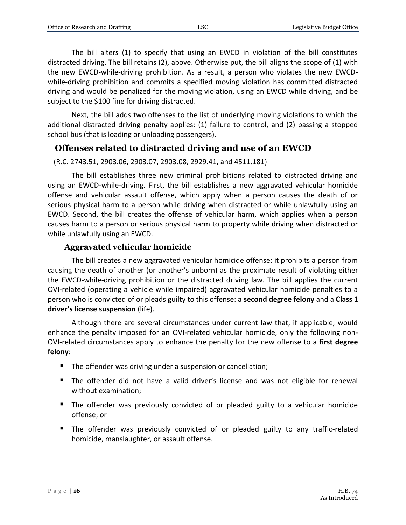The bill alters (1) to specify that using an EWCD in violation of the bill constitutes distracted driving. The bill retains (2), above. Otherwise put, the bill aligns the scope of (1) with the new EWCD-while-driving prohibition. As a result, a person who violates the new EWCDwhile-driving prohibition and commits a specified moving violation has committed distracted driving and would be penalized for the moving violation, using an EWCD while driving, and be subject to the \$100 fine for driving distracted.

Next, the bill adds two offenses to the list of underlying moving violations to which the additional distracted driving penalty applies: (1) failure to control, and (2) passing a stopped school bus (that is loading or unloading passengers).

# <span id="page-15-0"></span>**Offenses related to distracted driving and use of an EWCD**

```
(R.C. 2743.51, 2903.06, 2903.07, 2903.08, 2929.41, and 4511.181)
```
The bill establishes three new criminal prohibitions related to distracted driving and using an EWCD-while-driving. First, the bill establishes a new aggravated vehicular homicide offense and vehicular assault offense, which apply when a person causes the death of or serious physical harm to a person while driving when distracted or while unlawfully using an EWCD. Second, the bill creates the offense of vehicular harm, which applies when a person causes harm to a person or serious physical harm to property while driving when distracted or while unlawfully using an EWCD.

### **Aggravated vehicular homicide**

<span id="page-15-1"></span>The bill creates a new aggravated vehicular homicide offense: it prohibits a person from causing the death of another (or another's unborn) as the proximate result of violating either the EWCD-while-driving prohibition or the distracted driving law. The bill applies the current OVI-related (operating a vehicle while impaired) aggravated vehicular homicide penalties to a person who is convicted of or pleads guilty to this offense: a **second degree felony** and a **Class 1 driver's license suspension** (life).

Although there are several circumstances under current law that, if applicable, would enhance the penalty imposed for an OVI-related vehicular homicide, only the following non-OVI-related circumstances apply to enhance the penalty for the new offense to a **first degree felony**:

- The offender was driving under a suspension or cancellation;
- The offender did not have a valid driver's license and was not eligible for renewal without examination;
- The offender was previously convicted of or pleaded guilty to a vehicular homicide offense; or
- The offender was previously convicted of or pleaded guilty to any traffic-related homicide, manslaughter, or assault offense.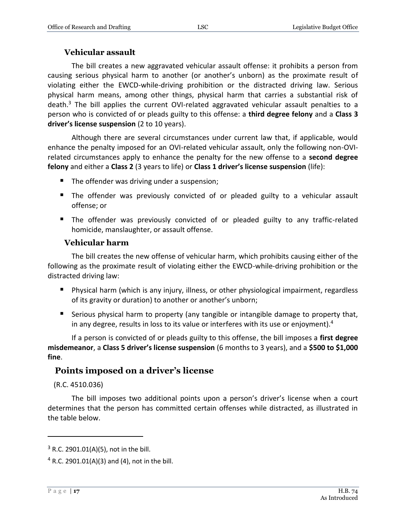#### **Vehicular assault**

<span id="page-16-0"></span>The bill creates a new aggravated vehicular assault offense: it prohibits a person from causing serious physical harm to another (or another's unborn) as the proximate result of violating either the EWCD-while-driving prohibition or the distracted driving law. Serious physical harm means, among other things, physical harm that carries a substantial risk of death. $3$  The bill applies the current OVI-related aggravated vehicular assault penalties to a person who is convicted of or pleads guilty to this offense: a **third degree felony** and a **Class 3 driver's license suspension** (2 to 10 years).

Although there are several circumstances under current law that, if applicable, would enhance the penalty imposed for an OVI-related vehicular assault, only the following non-OVIrelated circumstances apply to enhance the penalty for the new offense to a **second degree felony** and either a **Class 2** (3 years to life) or **Class 1 driver's license suspension** (life):

- The offender was driving under a suspension;
- The offender was previously convicted of or pleaded guilty to a vehicular assault offense; or
- The offender was previously convicted of or pleaded guilty to any traffic-related homicide, manslaughter, or assault offense.

#### **Vehicular harm**

<span id="page-16-1"></span>The bill creates the new offense of vehicular harm, which prohibits causing either of the following as the proximate result of violating either the EWCD-while-driving prohibition or the distracted driving law:

- Physical harm (which is any injury, illness, or other physiological impairment, regardless of its gravity or duration) to another or another's unborn;
- Serious physical harm to property (any tangible or intangible damage to property that, in any degree, results in loss to its value or interferes with its use or enjoyment).<sup>4</sup>

If a person is convicted of or pleads guilty to this offense, the bill imposes a **first degree misdemeanor**, a **Class 5 driver's license suspension** (6 months to 3 years), and a **\$500 to \$1,000 fine**.

# <span id="page-16-2"></span>**Points imposed on a driver's license**

(R.C. 4510.036)

The bill imposes two additional points upon a person's driver's license when a court determines that the person has committed certain offenses while distracted, as illustrated in the table below.

 $3$  R.C. 2901.01(A)(5), not in the bill.

 $4$  R.C. 2901.01(A)(3) and (4), not in the bill.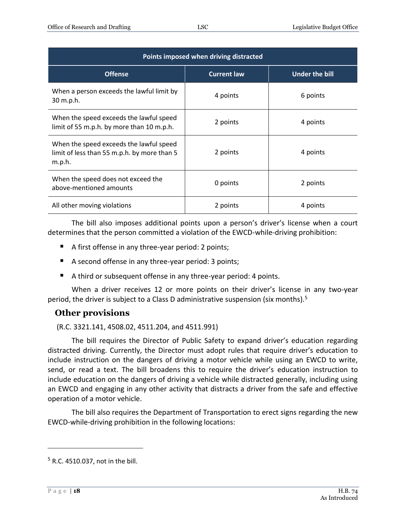| Points imposed when driving distracted                                                           |                    |                       |
|--------------------------------------------------------------------------------------------------|--------------------|-----------------------|
| <b>Offense</b>                                                                                   | <b>Current law</b> | <b>Under the bill</b> |
| When a person exceeds the lawful limit by<br>30 m.p.h.                                           | 4 points           | 6 points              |
| When the speed exceeds the lawful speed<br>limit of 55 m.p.h. by more than 10 m.p.h.             | 2 points           | 4 points              |
| When the speed exceeds the lawful speed<br>limit of less than 55 m.p.h. by more than 5<br>m.p.h. | 2 points           | 4 points              |
| When the speed does not exceed the<br>above-mentioned amounts                                    | 0 points           | 2 points              |
| All other moving violations                                                                      | 2 points           | 4 points              |

The bill also imposes additional points upon a person's driver's license when a court determines that the person committed a violation of the EWCD-while-driving prohibition:

- A first offense in any three-year period: 2 points;
- A second offense in any three-year period: 3 points;
- A third or subsequent offense in any three-year period: 4 points.

When a driver receives 12 or more points on their driver's license in any two-year period, the driver is subject to a Class D administrative suspension (six months).<sup>5</sup>

### <span id="page-17-0"></span>**Other provisions**

(R.C. 3321.141, 4508.02, 4511.204, and 4511.991)

The bill requires the Director of Public Safety to expand driver's education regarding distracted driving. Currently, the Director must adopt rules that require driver's education to include instruction on the dangers of driving a motor vehicle while using an EWCD to write, send, or read a text. The bill broadens this to require the driver's education instruction to include education on the dangers of driving a vehicle while distracted generally, including using an EWCD and engaging in any other activity that distracts a driver from the safe and effective operation of a motor vehicle.

The bill also requires the Department of Transportation to erect signs regarding the new EWCD-while-driving prohibition in the following locations:

<sup>5</sup> R.C. 4510.037, not in the bill.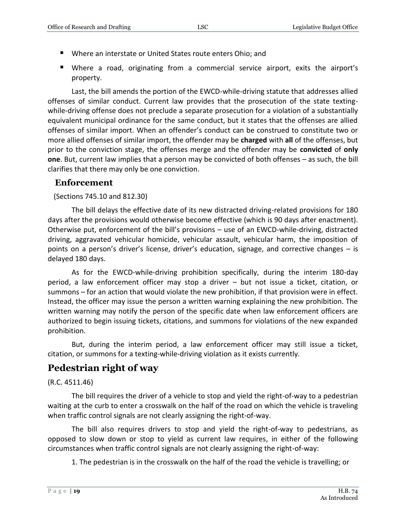- Where an interstate or United States route enters Ohio; and
- Where a road, originating from a commercial service airport, exits the airport's property.

Last, the bill amends the portion of the EWCD-while-driving statute that addresses allied offenses of similar conduct. Current law provides that the prosecution of the state textingwhile-driving offense does not preclude a separate prosecution for a violation of a substantially equivalent municipal ordinance for the same conduct, but it states that the offenses are allied offenses of similar import. When an offender's conduct can be construed to constitute two or more allied offenses of similar import, the offender may be **charged** with **all** of the offenses, but prior to the conviction stage, the offenses merge and the offender may be **convicted** of **only one**. But, current law implies that a person may be convicted of both offenses – as such, the bill clarifies that there may only be one conviction.

### <span id="page-18-0"></span>**Enforcement**

(Sections 745.10 and 812.30)

The bill delays the effective date of its new distracted driving-related provisions for 180 days after the provisions would otherwise become effective (which is 90 days after enactment). Otherwise put, enforcement of the bill's provisions – use of an EWCD-while-driving, distracted driving, aggravated vehicular homicide, vehicular assault, vehicular harm, the imposition of points on a person's driver's license, driver's education, signage, and corrective changes – is delayed 180 days.

As for the EWCD-while-driving prohibition specifically, during the interim 180-day period, a law enforcement officer may stop a driver – but not issue a ticket, citation, or summons – for an action that would violate the new prohibition, if that provision were in effect. Instead, the officer may issue the person a written warning explaining the new prohibition. The written warning may notify the person of the specific date when law enforcement officers are authorized to begin issuing tickets, citations, and summons for violations of the new expanded prohibition.

But, during the interim period, a law enforcement officer may still issue a ticket, citation, or summons for a texting-while-driving violation as it exists currently.

# <span id="page-18-1"></span>**Pedestrian right of way**

#### (R.C. 4511.46)

The bill requires the driver of a vehicle to stop and yield the right-of-way to a pedestrian waiting at the curb to enter a crosswalk on the half of the road on which the vehicle is traveling when traffic control signals are not clearly assigning the right-of-way.

The bill also requires drivers to stop and yield the right-of-way to pedestrians, as opposed to slow down or stop to yield as current law requires, in either of the following circumstances when traffic control signals are not clearly assigning the right-of-way:

1. The pedestrian is in the crosswalk on the half of the road the vehicle is travelling; or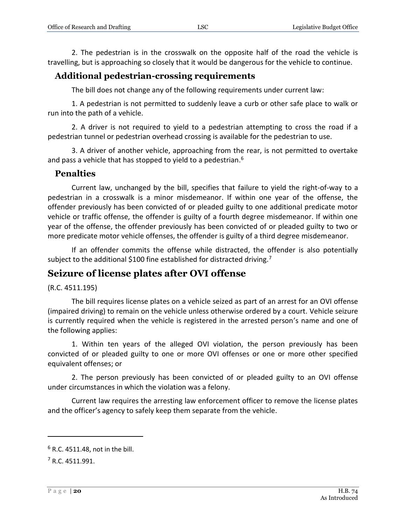2. The pedestrian is in the crosswalk on the opposite half of the road the vehicle is travelling, but is approaching so closely that it would be dangerous for the vehicle to continue.

### <span id="page-19-0"></span>**Additional pedestrian-crossing requirements**

The bill does not change any of the following requirements under current law:

1. A pedestrian is not permitted to suddenly leave a curb or other safe place to walk or run into the path of a vehicle.

2. A driver is not required to yield to a pedestrian attempting to cross the road if a pedestrian tunnel or pedestrian overhead crossing is available for the pedestrian to use.

3. A driver of another vehicle, approaching from the rear, is not permitted to overtake and pass a vehicle that has stopped to yield to a pedestrian.<sup>6</sup>

#### <span id="page-19-1"></span>**Penalties**

Current law, unchanged by the bill, specifies that failure to yield the right-of-way to a pedestrian in a crosswalk is a minor misdemeanor. If within one year of the offense, the offender previously has been convicted of or pleaded guilty to one additional predicate motor vehicle or traffic offense, the offender is guilty of a fourth degree misdemeanor. If within one year of the offense, the offender previously has been convicted of or pleaded guilty to two or more predicate motor vehicle offenses, the offender is guilty of a third degree misdemeanor.

If an offender commits the offense while distracted, the offender is also potentially subject to the additional \$100 fine established for distracted driving.<sup>7</sup>

# <span id="page-19-2"></span>**Seizure of license plates after OVI offense**

(R.C. 4511.195)

The bill requires license plates on a vehicle seized as part of an arrest for an OVI offense (impaired driving) to remain on the vehicle unless otherwise ordered by a court. Vehicle seizure is currently required when the vehicle is registered in the arrested person's name and one of the following applies:

1. Within ten years of the alleged OVI violation, the person previously has been convicted of or pleaded guilty to one or more OVI offenses or one or more other specified equivalent offenses; or

2. The person previously has been convicted of or pleaded guilty to an OVI offense under circumstances in which the violation was a felony.

Current law requires the arresting law enforcement officer to remove the license plates and the officer's agency to safely keep them separate from the vehicle.

 $6$  R.C. 4511.48, not in the bill.

<sup>7</sup> R.C. 4511.991.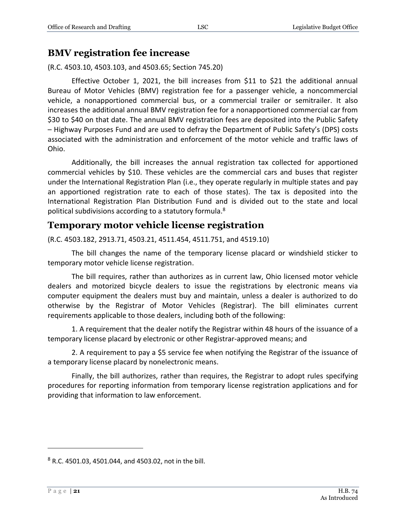### <span id="page-20-0"></span>**BMV registration fee increase**

(R.C. 4503.10, 4503.103, and 4503.65; Section 745.20)

Effective October 1, 2021, the bill increases from \$11 to \$21 the additional annual Bureau of Motor Vehicles (BMV) registration fee for a passenger vehicle, a noncommercial vehicle, a nonapportioned commercial bus, or a commercial trailer or semitrailer. It also increases the additional annual BMV registration fee for a nonapportioned commercial car from \$30 to \$40 on that date. The annual BMV registration fees are deposited into the Public Safety – Highway Purposes Fund and are used to defray the Department of Public Safety's (DPS) costs associated with the administration and enforcement of the motor vehicle and traffic laws of Ohio.

Additionally, the bill increases the annual registration tax collected for apportioned commercial vehicles by \$10. These vehicles are the commercial cars and buses that register under the International Registration Plan (i.e., they operate regularly in multiple states and pay an apportioned registration rate to each of those states). The tax is deposited into the International Registration Plan Distribution Fund and is divided out to the state and local political subdivisions according to a statutory formula.<sup>8</sup>

# <span id="page-20-1"></span>**Temporary motor vehicle license registration**

(R.C. 4503.182, 2913.71, 4503.21, 4511.454, 4511.751, and 4519.10)

The bill changes the name of the temporary license placard or windshield sticker to temporary motor vehicle license registration.

The bill requires, rather than authorizes as in current law, Ohio licensed motor vehicle dealers and motorized bicycle dealers to issue the registrations by electronic means via computer equipment the dealers must buy and maintain, unless a dealer is authorized to do otherwise by the Registrar of Motor Vehicles (Registrar). The bill eliminates current requirements applicable to those dealers, including both of the following:

1. A requirement that the dealer notify the Registrar within 48 hours of the issuance of a temporary license placard by electronic or other Registrar-approved means; and

2. A requirement to pay a \$5 service fee when notifying the Registrar of the issuance of a temporary license placard by nonelectronic means.

Finally, the bill authorizes, rather than requires, the Registrar to adopt rules specifying procedures for reporting information from temporary license registration applications and for providing that information to law enforcement.

 $8$  R.C. 4501.03, 4501.044, and 4503.02, not in the bill.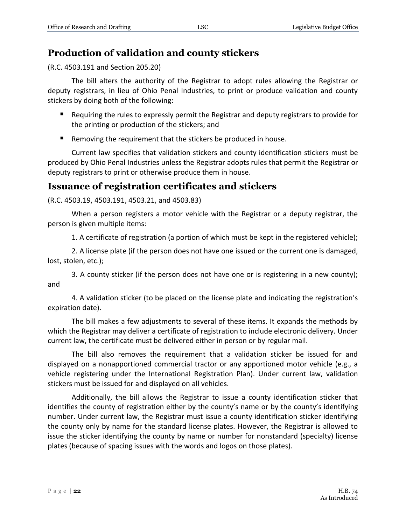# <span id="page-21-0"></span>**Production of validation and county stickers**

(R.C. 4503.191 and Section 205.20)

The bill alters the authority of the Registrar to adopt rules allowing the Registrar or deputy registrars, in lieu of Ohio Penal Industries, to print or produce validation and county stickers by doing both of the following:

- Requiring the rules to expressly permit the Registrar and deputy registrars to provide for the printing or production of the stickers; and
- Removing the requirement that the stickers be produced in house.

Current law specifies that validation stickers and county identification stickers must be produced by Ohio Penal Industries unless the Registrar adopts rules that permit the Registrar or deputy registrars to print or otherwise produce them in house.

# <span id="page-21-1"></span>**Issuance of registration certificates and stickers**

(R.C. 4503.19, 4503.191, 4503.21, and 4503.83)

When a person registers a motor vehicle with the Registrar or a deputy registrar, the person is given multiple items:

1. A certificate of registration (a portion of which must be kept in the registered vehicle);

2. A license plate (if the person does not have one issued or the current one is damaged, lost, stolen, etc.);

3. A county sticker (if the person does not have one or is registering in a new county); and

4. A validation sticker (to be placed on the license plate and indicating the registration's expiration date).

The bill makes a few adjustments to several of these items. It expands the methods by which the Registrar may deliver a certificate of registration to include electronic delivery. Under current law, the certificate must be delivered either in person or by regular mail.

The bill also removes the requirement that a validation sticker be issued for and displayed on a nonapportioned commercial tractor or any apportioned motor vehicle (e.g., a vehicle registering under the International Registration Plan). Under current law, validation stickers must be issued for and displayed on all vehicles.

Additionally, the bill allows the Registrar to issue a county identification sticker that identifies the county of registration either by the county's name or by the county's identifying number. Under current law, the Registrar must issue a county identification sticker identifying the county only by name for the standard license plates. However, the Registrar is allowed to issue the sticker identifying the county by name or number for nonstandard (specialty) license plates (because of spacing issues with the words and logos on those plates).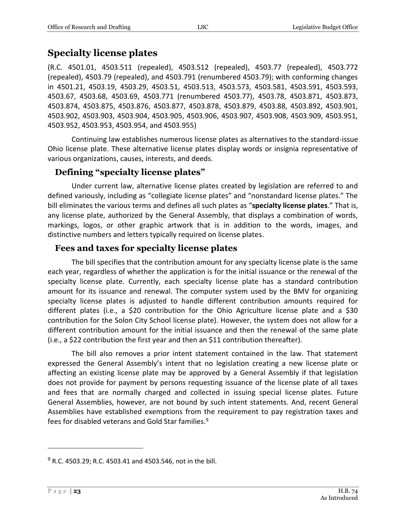# <span id="page-22-0"></span>**Specialty license plates**

(R.C. 4501.01, 4503.511 (repealed), 4503.512 (repealed), 4503.77 (repealed), 4503.772 (repealed), 4503.79 (repealed), and 4503.791 (renumbered 4503.79); with conforming changes in 4501.21, 4503.19, 4503.29, 4503.51, 4503.513, 4503.573, 4503.581, 4503.591, 4503.593, 4503.67, 4503.68, 4503.69, 4503.771 (renumbered 4503.77), 4503.78, 4503.871, 4503.873, 4503.874, 4503.875, 4503.876, 4503.877, 4503.878, 4503.879, 4503.88, 4503.892, 4503.901, 4503.902, 4503.903, 4503.904, 4503.905, 4503.906, 4503.907, 4503.908, 4503.909, 4503.951, 4503.952, 4503.953, 4503.954, and 4503.955)

Continuing law establishes numerous license plates as alternatives to the standard-issue Ohio license plate. These alternative license plates display words or insignia representative of various organizations, causes, interests, and deeds.

### <span id="page-22-1"></span>**Defining "specialty license plates"**

Under current law, alternative license plates created by legislation are referred to and defined variously, including as "collegiate license plates" and "nonstandard license plates." The bill eliminates the various terms and defines all such plates as "**specialty license plates**." That is, any license plate, authorized by the General Assembly, that displays a combination of words, markings, logos, or other graphic artwork that is in addition to the words, images, and distinctive numbers and letters typically required on license plates.

#### <span id="page-22-2"></span>**Fees and taxes for specialty license plates**

The bill specifies that the contribution amount for any specialty license plate is the same each year, regardless of whether the application is for the initial issuance or the renewal of the specialty license plate. Currently, each specialty license plate has a standard contribution amount for its issuance and renewal. The computer system used by the BMV for organizing specialty license plates is adjusted to handle different contribution amounts required for different plates (i.e., a \$20 contribution for the Ohio Agriculture license plate and a \$30 contribution for the Solon City School license plate). However, the system does not allow for a different contribution amount for the initial issuance and then the renewal of the same plate (i.e., a \$22 contribution the first year and then an \$11 contribution thereafter).

The bill also removes a prior intent statement contained in the law. That statement expressed the General Assembly's intent that no legislation creating a new license plate or affecting an existing license plate may be approved by a General Assembly if that legislation does not provide for payment by persons requesting issuance of the license plate of all taxes and fees that are normally charged and collected in issuing special license plates. Future General Assemblies, however, are not bound by such intent statements. And, recent General Assemblies have established exemptions from the requirement to pay registration taxes and fees for disabled veterans and Gold Star families.<sup>9</sup>

 $9$  R.C. 4503.29; R.C. 4503.41 and 4503.546, not in the bill.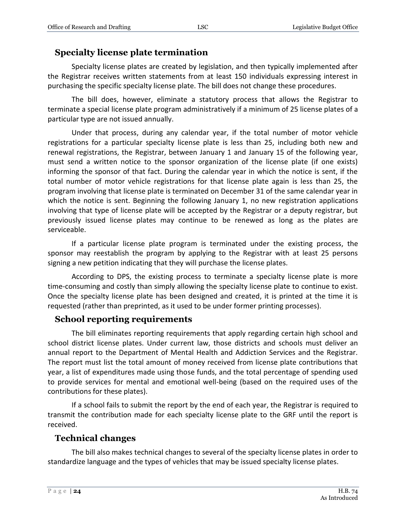### <span id="page-23-0"></span>**Specialty license plate termination**

Specialty license plates are created by legislation, and then typically implemented after the Registrar receives written statements from at least 150 individuals expressing interest in purchasing the specific specialty license plate. The bill does not change these procedures.

The bill does, however, eliminate a statutory process that allows the Registrar to terminate a special license plate program administratively if a minimum of 25 license plates of a particular type are not issued annually.

Under that process, during any calendar year, if the total number of motor vehicle registrations for a particular specialty license plate is less than 25, including both new and renewal registrations, the Registrar, between January 1 and January 15 of the following year, must send a written notice to the sponsor organization of the license plate (if one exists) informing the sponsor of that fact. During the calendar year in which the notice is sent, if the total number of motor vehicle registrations for that license plate again is less than 25, the program involving that license plate is terminated on December 31 of the same calendar year in which the notice is sent. Beginning the following January 1, no new registration applications involving that type of license plate will be accepted by the Registrar or a deputy registrar, but previously issued license plates may continue to be renewed as long as the plates are serviceable.

If a particular license plate program is terminated under the existing process, the sponsor may reestablish the program by applying to the Registrar with at least 25 persons signing a new petition indicating that they will purchase the license plates.

According to DPS, the existing process to terminate a specialty license plate is more time-consuming and costly than simply allowing the specialty license plate to continue to exist. Once the specialty license plate has been designed and created, it is printed at the time it is requested (rather than preprinted, as it used to be under former printing processes).

### <span id="page-23-1"></span>**School reporting requirements**

The bill eliminates reporting requirements that apply regarding certain high school and school district license plates. Under current law, those districts and schools must deliver an annual report to the Department of Mental Health and Addiction Services and the Registrar. The report must list the total amount of money received from license plate contributions that year, a list of expenditures made using those funds, and the total percentage of spending used to provide services for mental and emotional well-being (based on the required uses of the contributions for these plates).

If a school fails to submit the report by the end of each year, the Registrar is required to transmit the contribution made for each specialty license plate to the GRF until the report is received.

# <span id="page-23-2"></span>**Technical changes**

The bill also makes technical changes to several of the specialty license plates in order to standardize language and the types of vehicles that may be issued specialty license plates.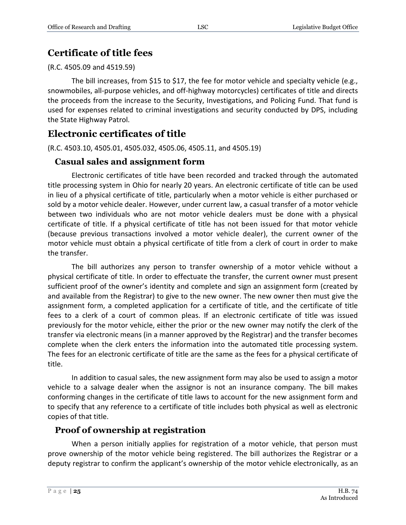# <span id="page-24-0"></span>**Certificate of title fees**

(R.C. 4505.09 and 4519.59)

The bill increases, from \$15 to \$17, the fee for motor vehicle and specialty vehicle (e.g., snowmobiles, all-purpose vehicles, and off-highway motorcycles) certificates of title and directs the proceeds from the increase to the Security, Investigations, and Policing Fund. That fund is used for expenses related to criminal investigations and security conducted by DPS, including the State Highway Patrol.

# <span id="page-24-1"></span>**Electronic certificates of title**

(R.C. 4503.10, 4505.01, 4505.032, 4505.06, 4505.11, and 4505.19)

# <span id="page-24-2"></span>**Casual sales and assignment form**

Electronic certificates of title have been recorded and tracked through the automated title processing system in Ohio for nearly 20 years. An electronic certificate of title can be used in lieu of a physical certificate of title, particularly when a motor vehicle is either purchased or sold by a motor vehicle dealer. However, under current law, a casual transfer of a motor vehicle between two individuals who are not motor vehicle dealers must be done with a physical certificate of title. If a physical certificate of title has not been issued for that motor vehicle (because previous transactions involved a motor vehicle dealer), the current owner of the motor vehicle must obtain a physical certificate of title from a clerk of court in order to make the transfer.

The bill authorizes any person to transfer ownership of a motor vehicle without a physical certificate of title. In order to effectuate the transfer, the current owner must present sufficient proof of the owner's identity and complete and sign an assignment form (created by and available from the Registrar) to give to the new owner. The new owner then must give the assignment form, a completed application for a certificate of title, and the certificate of title fees to a clerk of a court of common pleas. If an electronic certificate of title was issued previously for the motor vehicle, either the prior or the new owner may notify the clerk of the transfer via electronic means (in a manner approved by the Registrar) and the transfer becomes complete when the clerk enters the information into the automated title processing system. The fees for an electronic certificate of title are the same as the fees for a physical certificate of title.

In addition to casual sales, the new assignment form may also be used to assign a motor vehicle to a salvage dealer when the assignor is not an insurance company. The bill makes conforming changes in the certificate of title laws to account for the new assignment form and to specify that any reference to a certificate of title includes both physical as well as electronic copies of that title.

# <span id="page-24-3"></span>**Proof of ownership at registration**

When a person initially applies for registration of a motor vehicle, that person must prove ownership of the motor vehicle being registered. The bill authorizes the Registrar or a deputy registrar to confirm the applicant's ownership of the motor vehicle electronically, as an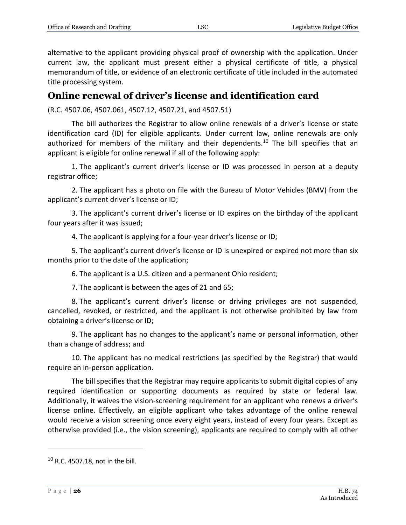alternative to the applicant providing physical proof of ownership with the application. Under current law, the applicant must present either a physical certificate of title, a physical memorandum of title, or evidence of an electronic certificate of title included in the automated title processing system.

# <span id="page-25-0"></span>**Online renewal of driver's license and identification card**

(R.C. 4507.06, 4507.061, 4507.12, 4507.21, and 4507.51)

The bill authorizes the Registrar to allow online renewals of a driver's license or state identification card (ID) for eligible applicants. Under current law, online renewals are only authorized for members of the military and their dependents.<sup>10</sup> The bill specifies that an applicant is eligible for online renewal if all of the following apply:

1. The applicant's current driver's license or ID was processed in person at a deputy registrar office;

2. The applicant has a photo on file with the Bureau of Motor Vehicles (BMV) from the applicant's current driver's license or ID;

3. The applicant's current driver's license or ID expires on the birthday of the applicant four years after it was issued;

4. The applicant is applying for a four-year driver's license or ID;

5. The applicant's current driver's license or ID is unexpired or expired not more than six months prior to the date of the application;

6. The applicant is a U.S. citizen and a permanent Ohio resident;

7. The applicant is between the ages of 21 and 65;

8. The applicant's current driver's license or driving privileges are not suspended, cancelled, revoked, or restricted, and the applicant is not otherwise prohibited by law from obtaining a driver's license or ID;

9. The applicant has no changes to the applicant's name or personal information, other than a change of address; and

10. The applicant has no medical restrictions (as specified by the Registrar) that would require an in-person application.

The bill specifies that the Registrar may require applicants to submit digital copies of any required identification or supporting documents as required by state or federal law. Additionally, it waives the vision-screening requirement for an applicant who renews a driver's license online. Effectively, an eligible applicant who takes advantage of the online renewal would receive a vision screening once every eight years, instead of every four years. Except as otherwise provided (i.e., the vision screening), applicants are required to comply with all other

 $10$  R.C. 4507.18, not in the bill.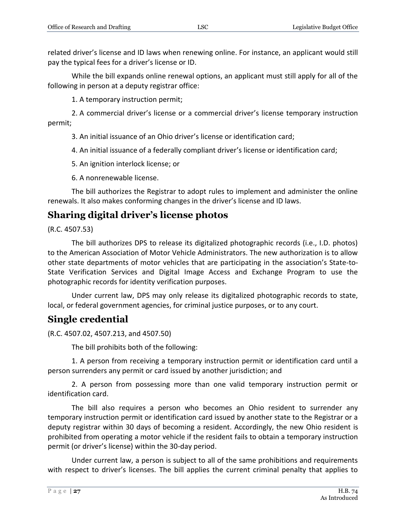related driver's license and ID laws when renewing online. For instance, an applicant would still pay the typical fees for a driver's license or ID.

While the bill expands online renewal options, an applicant must still apply for all of the following in person at a deputy registrar office:

1. A temporary instruction permit;

2. A commercial driver's license or a commercial driver's license temporary instruction permit;

3. An initial issuance of an Ohio driver's license or identification card;

4. An initial issuance of a federally compliant driver's license or identification card;

5. An ignition interlock license; or

6. A nonrenewable license.

The bill authorizes the Registrar to adopt rules to implement and administer the online renewals. It also makes conforming changes in the driver's license and ID laws.

# <span id="page-26-0"></span>**Sharing digital driver's license photos**

(R.C. 4507.53)

The bill authorizes DPS to release its digitalized photographic records (i.e., I.D. photos) to the American Association of Motor Vehicle Administrators. The new authorization is to allow other state departments of motor vehicles that are participating in the association's State-to-State Verification Services and Digital Image Access and Exchange Program to use the photographic records for identity verification purposes.

Under current law, DPS may only release its digitalized photographic records to state, local, or federal government agencies, for criminal justice purposes, or to any court.

# <span id="page-26-1"></span>**Single credential**

(R.C. 4507.02, 4507.213, and 4507.50)

The bill prohibits both of the following:

1. A person from receiving a temporary instruction permit or identification card until a person surrenders any permit or card issued by another jurisdiction; and

2. A person from possessing more than one valid temporary instruction permit or identification card.

The bill also requires a person who becomes an Ohio resident to surrender any temporary instruction permit or identification card issued by another state to the Registrar or a deputy registrar within 30 days of becoming a resident. Accordingly, the new Ohio resident is prohibited from operating a motor vehicle if the resident fails to obtain a temporary instruction permit (or driver's license) within the 30-day period.

Under current law, a person is subject to all of the same prohibitions and requirements with respect to driver's licenses. The bill applies the current criminal penalty that applies to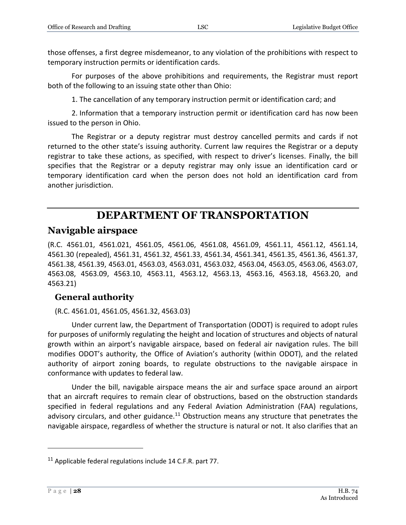those offenses, a first degree misdemeanor, to any violation of the prohibitions with respect to temporary instruction permits or identification cards.

For purposes of the above prohibitions and requirements, the Registrar must report both of the following to an issuing state other than Ohio:

1. The cancellation of any temporary instruction permit or identification card; and

2. Information that a temporary instruction permit or identification card has now been issued to the person in Ohio.

The Registrar or a deputy registrar must destroy cancelled permits and cards if not returned to the other state's issuing authority. Current law requires the Registrar or a deputy registrar to take these actions, as specified, with respect to driver's licenses. Finally, the bill specifies that the Registrar or a deputy registrar may only issue an identification card or temporary identification card when the person does not hold an identification card from another jurisdiction.

# **DEPARTMENT OF TRANSPORTATION**

# <span id="page-27-0"></span>**Navigable airspace**

(R.C. 4561.01, 4561.021, 4561.05, 4561.06, 4561.08, 4561.09, 4561.11, 4561.12, 4561.14, 4561.30 (repealed), 4561.31, 4561.32, 4561.33, 4561.34, 4561.341, 4561.35, 4561.36, 4561.37, 4561.38, 4561.39, 4563.01, 4563.03, 4563.031, 4563.032, 4563.04, 4563.05, 4563.06, 4563.07, 4563.08, 4563.09, 4563.10, 4563.11, 4563.12, 4563.13, 4563.16, 4563.18, 4563.20, and 4563.21)

# <span id="page-27-1"></span>**General authority**

(R.C. 4561.01, 4561.05, 4561.32, 4563.03)

Under current law, the Department of Transportation (ODOT) is required to adopt rules for purposes of uniformly regulating the height and location of structures and objects of natural growth within an airport's navigable airspace, based on federal air navigation rules. The bill modifies ODOT's authority, the Office of Aviation's authority (within ODOT), and the related authority of airport zoning boards, to regulate obstructions to the navigable airspace in conformance with updates to federal law.

Under the bill, navigable airspace means the air and surface space around an airport that an aircraft requires to remain clear of obstructions, based on the obstruction standards specified in federal regulations and any Federal Aviation Administration (FAA) regulations, advisory circulars, and other guidance.<sup>11</sup> Obstruction means any structure that penetrates the navigable airspace, regardless of whether the structure is natural or not. It also clarifies that an

 $11$  Applicable federal regulations include 14 C.F.R. part 77.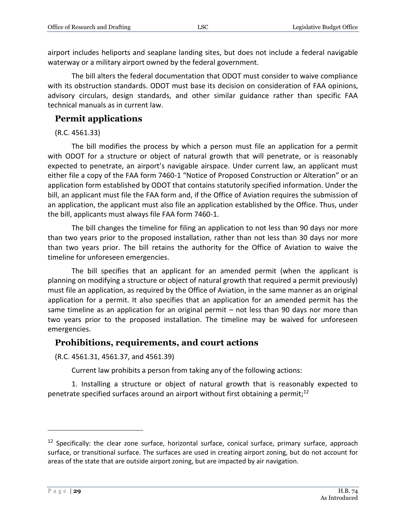airport includes heliports and seaplane landing sites, but does not include a federal navigable waterway or a military airport owned by the federal government.

The bill alters the federal documentation that ODOT must consider to waive compliance with its obstruction standards. ODOT must base its decision on consideration of FAA opinions, advisory circulars, design standards, and other similar guidance rather than specific FAA technical manuals as in current law.

### <span id="page-28-0"></span>**Permit applications**

(R.C. 4561.33)

The bill modifies the process by which a person must file an application for a permit with ODOT for a structure or object of natural growth that will penetrate, or is reasonably expected to penetrate, an airport's navigable airspace. Under current law, an applicant must either file a copy of the FAA form 7460-1 "Notice of Proposed Construction or Alteration" or an application form established by ODOT that contains statutorily specified information. Under the bill, an applicant must file the FAA form and, if the Office of Aviation requires the submission of an application, the applicant must also file an application established by the Office. Thus, under the bill, applicants must always file FAA form 7460-1.

The bill changes the timeline for filing an application to not less than 90 days nor more than two years prior to the proposed installation, rather than not less than 30 days nor more than two years prior. The bill retains the authority for the Office of Aviation to waive the timeline for unforeseen emergencies.

The bill specifies that an applicant for an amended permit (when the applicant is planning on modifying a structure or object of natural growth that required a permit previously) must file an application, as required by the Office of Aviation, in the same manner as an original application for a permit. It also specifies that an application for an amended permit has the same timeline as an application for an original permit – not less than 90 days nor more than two years prior to the proposed installation. The timeline may be waived for unforeseen emergencies.

### <span id="page-28-1"></span>**Prohibitions, requirements, and court actions**

(R.C. 4561.31, 4561.37, and 4561.39)

Current law prohibits a person from taking any of the following actions:

1. Installing a structure or object of natural growth that is reasonably expected to penetrate specified surfaces around an airport without first obtaining a permit;<sup>12</sup>

<sup>&</sup>lt;sup>12</sup> Specifically: the clear zone surface, horizontal surface, conical surface, primary surface, approach surface, or transitional surface. The surfaces are used in creating airport zoning, but do not account for areas of the state that are outside airport zoning, but are impacted by air navigation.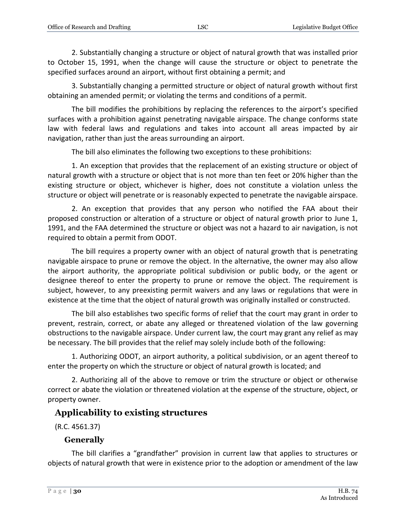2. Substantially changing a structure or object of natural growth that was installed prior to October 15, 1991, when the change will cause the structure or object to penetrate the specified surfaces around an airport, without first obtaining a permit; and

3. Substantially changing a permitted structure or object of natural growth without first obtaining an amended permit; or violating the terms and conditions of a permit.

The bill modifies the prohibitions by replacing the references to the airport's specified surfaces with a prohibition against penetrating navigable airspace. The change conforms state law with federal laws and regulations and takes into account all areas impacted by air navigation, rather than just the areas surrounding an airport.

The bill also eliminates the following two exceptions to these prohibitions:

1. An exception that provides that the replacement of an existing structure or object of natural growth with a structure or object that is not more than ten feet or 20% higher than the existing structure or object, whichever is higher, does not constitute a violation unless the structure or object will penetrate or is reasonably expected to penetrate the navigable airspace.

2. An exception that provides that any person who notified the FAA about their proposed construction or alteration of a structure or object of natural growth prior to June 1, 1991, and the FAA determined the structure or object was not a hazard to air navigation, is not required to obtain a permit from ODOT.

The bill requires a property owner with an object of natural growth that is penetrating navigable airspace to prune or remove the object. In the alternative, the owner may also allow the airport authority, the appropriate political subdivision or public body, or the agent or designee thereof to enter the property to prune or remove the object. The requirement is subject, however, to any preexisting permit waivers and any laws or regulations that were in existence at the time that the object of natural growth was originally installed or constructed.

The bill also establishes two specific forms of relief that the court may grant in order to prevent, restrain, correct, or abate any alleged or threatened violation of the law governing obstructions to the navigable airspace. Under current law, the court may grant any relief as may be necessary. The bill provides that the relief may solely include both of the following:

1. Authorizing ODOT, an airport authority, a political subdivision, or an agent thereof to enter the property on which the structure or object of natural growth is located; and

2. Authorizing all of the above to remove or trim the structure or object or otherwise correct or abate the violation or threatened violation at the expense of the structure, object, or property owner.

# <span id="page-29-0"></span>**Applicability to existing structures**

(R.C. 4561.37)

# **Generally**

<span id="page-29-1"></span>The bill clarifies a "grandfather" provision in current law that applies to structures or objects of natural growth that were in existence prior to the adoption or amendment of the law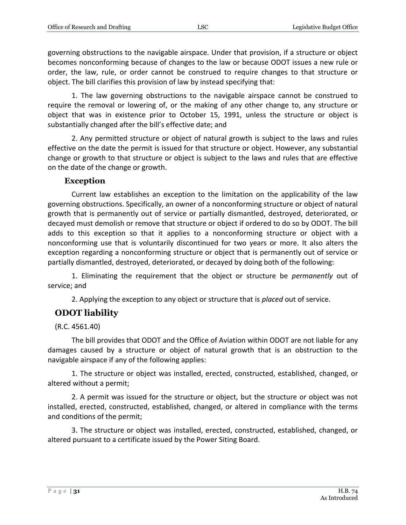governing obstructions to the navigable airspace. Under that provision, if a structure or object becomes nonconforming because of changes to the law or because ODOT issues a new rule or order, the law, rule, or order cannot be construed to require changes to that structure or object. The bill clarifies this provision of law by instead specifying that:

1. The law governing obstructions to the navigable airspace cannot be construed to require the removal or lowering of, or the making of any other change to, any structure or object that was in existence prior to October 15, 1991, unless the structure or object is substantially changed after the bill's effective date; and

2. Any permitted structure or object of natural growth is subject to the laws and rules effective on the date the permit is issued for that structure or object. However, any substantial change or growth to that structure or object is subject to the laws and rules that are effective on the date of the change or growth.

#### **Exception**

<span id="page-30-0"></span>Current law establishes an exception to the limitation on the applicability of the law governing obstructions. Specifically, an owner of a nonconforming structure or object of natural growth that is permanently out of service or partially dismantled, destroyed, deteriorated, or decayed must demolish or remove that structure or object if ordered to do so by ODOT. The bill adds to this exception so that it applies to a nonconforming structure or object with a nonconforming use that is voluntarily discontinued for two years or more. It also alters the exception regarding a nonconforming structure or object that is permanently out of service or partially dismantled, destroyed, deteriorated, or decayed by doing both of the following:

1. Eliminating the requirement that the object or structure be *permanently* out of service; and

2. Applying the exception to any object or structure that is *placed* out of service.

# <span id="page-30-1"></span>**ODOT liability**

(R.C. 4561.40)

The bill provides that ODOT and the Office of Aviation within ODOT are not liable for any damages caused by a structure or object of natural growth that is an obstruction to the navigable airspace if any of the following applies:

1. The structure or object was installed, erected, constructed, established, changed, or altered without a permit;

2. A permit was issued for the structure or object, but the structure or object was not installed, erected, constructed, established, changed, or altered in compliance with the terms and conditions of the permit;

3. The structure or object was installed, erected, constructed, established, changed, or altered pursuant to a certificate issued by the Power Siting Board.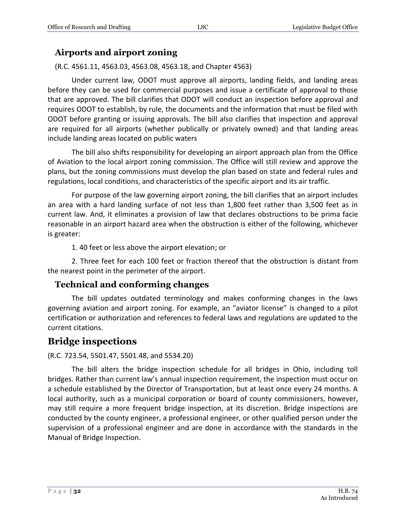### <span id="page-31-0"></span>**Airports and airport zoning**

(R.C. 4561.11, 4563.03, 4563.08, 4563.18, and Chapter 4563)

Under current law, ODOT must approve all airports, landing fields, and landing areas before they can be used for commercial purposes and issue a certificate of approval to those that are approved. The bill clarifies that ODOT will conduct an inspection before approval and requires ODOT to establish, by rule, the documents and the information that must be filed with ODOT before granting or issuing approvals. The bill also clarifies that inspection and approval are required for all airports (whether publically or privately owned) and that landing areas include landing areas located on public waters

The bill also shifts responsibility for developing an airport approach plan from the Office of Aviation to the local airport zoning commission. The Office will still review and approve the plans, but the zoning commissions must develop the plan based on state and federal rules and regulations, local conditions, and characteristics of the specific airport and its air traffic.

For purpose of the law governing airport zoning, the bill clarifies that an airport includes an area with a hard landing surface of not less than 1,800 feet rather than 3,500 feet as in current law. And, it eliminates a provision of law that declares obstructions to be prima facie reasonable in an airport hazard area when the obstruction is either of the following, whichever is greater:

1. 40 feet or less above the airport elevation; or

2. Three feet for each 100 feet or fraction thereof that the obstruction is distant from the nearest point in the perimeter of the airport.

### <span id="page-31-1"></span>**Technical and conforming changes**

The bill updates outdated terminology and makes conforming changes in the laws governing aviation and airport zoning. For example, an "aviator license" is changed to a pilot certification or authorization and references to federal laws and regulations are updated to the current citations.

# <span id="page-31-2"></span>**Bridge inspections**

#### (R.C. 723.54, 5501.47, 5501.48, and 5534.20)

The bill alters the bridge inspection schedule for all bridges in Ohio, including toll bridges. Rather than current law's annual inspection requirement, the inspection must occur on a schedule established by the Director of Transportation, but at least once every 24 months. A local authority, such as a municipal corporation or board of county commissioners, however, may still require a more frequent bridge inspection, at its discretion. Bridge inspections are conducted by the county engineer, a professional engineer, or other qualified person under the supervision of a professional engineer and are done in accordance with the standards in the Manual of Bridge Inspection.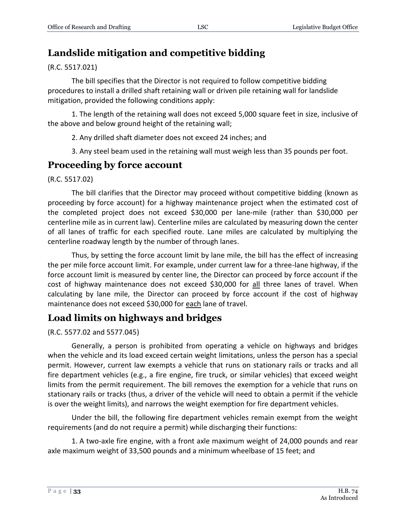# <span id="page-32-0"></span>**Landslide mitigation and competitive bidding**

(R.C. 5517.021)

The bill specifies that the Director is not required to follow competitive bidding procedures to install a drilled shaft retaining wall or driven pile retaining wall for landslide mitigation, provided the following conditions apply:

1. The length of the retaining wall does not exceed 5,000 square feet in size, inclusive of the above and below ground height of the retaining wall;

2. Any drilled shaft diameter does not exceed 24 inches; and

3. Any steel beam used in the retaining wall must weigh less than 35 pounds per foot.

# <span id="page-32-1"></span>**Proceeding by force account**

(R.C. 5517.02)

The bill clarifies that the Director may proceed without competitive bidding (known as proceeding by force account) for a highway maintenance project when the estimated cost of the completed project does not exceed \$30,000 per lane-mile (rather than \$30,000 per centerline mile as in current law). Centerline miles are calculated by measuring down the center of all lanes of traffic for each specified route. Lane miles are calculated by multiplying the centerline roadway length by the number of through lanes.

Thus, by setting the force account limit by lane mile, the bill has the effect of increasing the per mile force account limit. For example, under current law for a three-lane highway, if the force account limit is measured by center line, the Director can proceed by force account if the cost of highway maintenance does not exceed \$30,000 for all three lanes of travel. When calculating by lane mile, the Director can proceed by force account if the cost of highway maintenance does not exceed \$30,000 for each lane of travel.

# <span id="page-32-2"></span>**Load limits on highways and bridges**

(R.C. 5577.02 and 5577.045)

Generally, a person is prohibited from operating a vehicle on highways and bridges when the vehicle and its load exceed certain weight limitations, unless the person has a special permit. However, current law exempts a vehicle that runs on stationary rails or tracks and all fire department vehicles (e.g., a fire engine, fire truck, or similar vehicles) that exceed weight limits from the permit requirement. The bill removes the exemption for a vehicle that runs on stationary rails or tracks (thus, a driver of the vehicle will need to obtain a permit if the vehicle is over the weight limits), and narrows the weight exemption for fire department vehicles.

Under the bill, the following fire department vehicles remain exempt from the weight requirements (and do not require a permit) while discharging their functions:

1. A two-axle fire engine, with a front axle maximum weight of 24,000 pounds and rear axle maximum weight of 33,500 pounds and a minimum wheelbase of 15 feet; and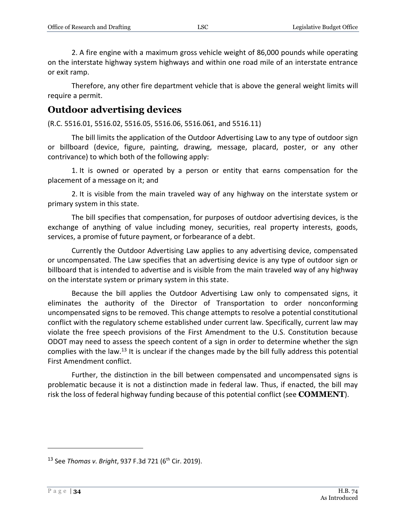2. A fire engine with a maximum gross vehicle weight of 86,000 pounds while operating on the interstate highway system highways and within one road mile of an interstate entrance or exit ramp.

Therefore, any other fire department vehicle that is above the general weight limits will require a permit.

# <span id="page-33-0"></span>**Outdoor advertising devices**

(R.C. 5516.01, 5516.02, 5516.05, 5516.06, 5516.061, and 5516.11)

The bill limits the application of the Outdoor Advertising Law to any type of outdoor sign or billboard (device, figure, painting, drawing, message, placard, poster, or any other contrivance) to which both of the following apply:

1. It is owned or operated by a person or entity that earns compensation for the placement of a message on it; and

2. It is visible from the main traveled way of any highway on the interstate system or primary system in this state.

The bill specifies that compensation, for purposes of outdoor advertising devices, is the exchange of anything of value including money, securities, real property interests, goods, services, a promise of future payment, or forbearance of a debt.

Currently the Outdoor Advertising Law applies to any advertising device, compensated or uncompensated. The Law specifies that an advertising device is any type of outdoor sign or billboard that is intended to advertise and is visible from the main traveled way of any highway on the interstate system or primary system in this state.

Because the bill applies the Outdoor Advertising Law only to compensated signs, it eliminates the authority of the Director of Transportation to order nonconforming uncompensated signs to be removed. This change attempts to resolve a potential constitutional conflict with the regulatory scheme established under current law. Specifically, current law may violate the free speech provisions of the First Amendment to the U.S. Constitution because ODOT may need to assess the speech content of a sign in order to determine whether the sign complies with the law.<sup>13</sup> It is unclear if the changes made by the bill fully address this potential First Amendment conflict.

Further, the distinction in the bill between compensated and uncompensated signs is problematic because it is not a distinction made in federal law. Thus, if enacted, the bill may risk the loss of federal highway funding because of this potential conflict (see **COMMENT**).

<sup>&</sup>lt;sup>13</sup> See *Thomas v. Bright*, 937 F.3d 721 (6<sup>th</sup> Cir. 2019).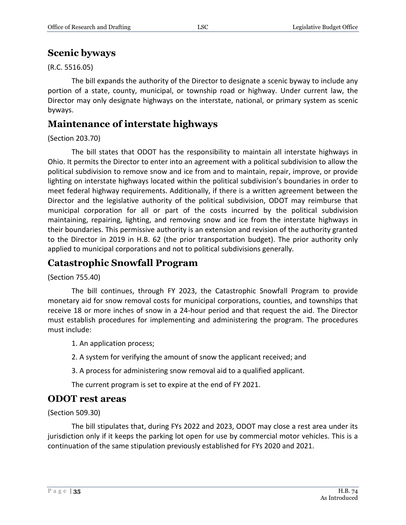# <span id="page-34-0"></span>**Scenic byways**

(R.C. 5516.05)

The bill expands the authority of the Director to designate a scenic byway to include any portion of a state, county, municipal, or township road or highway. Under current law, the Director may only designate highways on the interstate, national, or primary system as scenic byways.

# <span id="page-34-1"></span>**Maintenance of interstate highways**

### (Section 203.70)

The bill states that ODOT has the responsibility to maintain all interstate highways in Ohio. It permits the Director to enter into an agreement with a political subdivision to allow the political subdivision to remove snow and ice from and to maintain, repair, improve, or provide lighting on interstate highways located within the political subdivision's boundaries in order to meet federal highway requirements. Additionally, if there is a written agreement between the Director and the legislative authority of the political subdivision, ODOT may reimburse that municipal corporation for all or part of the costs incurred by the political subdivision maintaining, repairing, lighting, and removing snow and ice from the interstate highways in their boundaries. This permissive authority is an extension and revision of the authority granted to the Director in 2019 in H.B. 62 (the prior transportation budget). The prior authority only applied to municipal corporations and not to political subdivisions generally.

# <span id="page-34-2"></span>**Catastrophic Snowfall Program**

(Section 755.40)

The bill continues, through FY 2023, the Catastrophic Snowfall Program to provide monetary aid for snow removal costs for municipal corporations, counties, and townships that receive 18 or more inches of snow in a 24-hour period and that request the aid. The Director must establish procedures for implementing and administering the program. The procedures must include:

1. An application process;

2. A system for verifying the amount of snow the applicant received; and

3. A process for administering snow removal aid to a qualified applicant.

The current program is set to expire at the end of FY 2021.

# <span id="page-34-3"></span>**ODOT rest areas**

(Section 509.30)

The bill stipulates that, during FYs 2022 and 2023, ODOT may close a rest area under its jurisdiction only if it keeps the parking lot open for use by commercial motor vehicles. This is a continuation of the same stipulation previously established for FYs 2020 and 2021.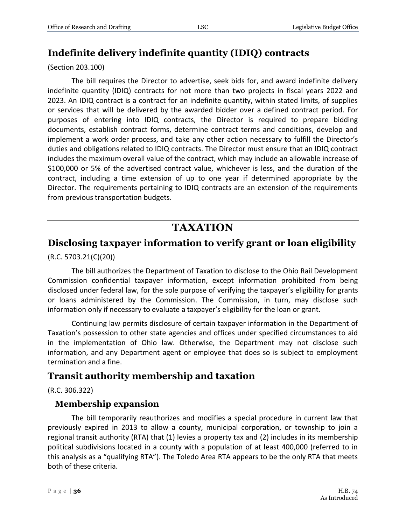# <span id="page-35-0"></span>**Indefinite delivery indefinite quantity (IDIQ) contracts**

(Section 203.100)

The bill requires the Director to advertise, seek bids for, and award indefinite delivery indefinite quantity (IDIQ) contracts for not more than two projects in fiscal years 2022 and 2023. An IDIQ contract is a contract for an indefinite quantity, within stated limits, of supplies or services that will be delivered by the awarded bidder over a defined contract period. For purposes of entering into IDIQ contracts, the Director is required to prepare bidding documents, establish contract forms, determine contract terms and conditions, develop and implement a work order process, and take any other action necessary to fulfill the Director's duties and obligations related to IDIQ contracts. The Director must ensure that an IDIQ contract includes the maximum overall value of the contract, which may include an allowable increase of \$100,000 or 5% of the advertised contract value, whichever is less, and the duration of the contract, including a time extension of up to one year if determined appropriate by the Director. The requirements pertaining to IDIQ contracts are an extension of the requirements from previous transportation budgets.

# **TAXATION**

# <span id="page-35-1"></span>**Disclosing taxpayer information to verify grant or loan eligibility**

(R.C. 5703.21(C)(20))

The bill authorizes the Department of Taxation to disclose to the Ohio Rail Development Commission confidential taxpayer information, except information prohibited from being disclosed under federal law, for the sole purpose of verifying the taxpayer's eligibility for grants or loans administered by the Commission. The Commission, in turn, may disclose such information only if necessary to evaluate a taxpayer's eligibility for the loan or grant.

Continuing law permits disclosure of certain taxpayer information in the Department of Taxation's possession to other state agencies and offices under specified circumstances to aid in the implementation of Ohio law. Otherwise, the Department may not disclose such information, and any Department agent or employee that does so is subject to employment termination and a fine.

# <span id="page-35-2"></span>**Transit authority membership and taxation**

(R.C. 306.322)

# <span id="page-35-3"></span>**Membership expansion**

The bill temporarily reauthorizes and modifies a special procedure in current law that previously expired in 2013 to allow a county, municipal corporation, or township to join a regional transit authority (RTA) that (1) levies a property tax and (2) includes in its membership political subdivisions located in a county with a population of at least 400,000 (referred to in this analysis as a "qualifying RTA"). The Toledo Area RTA appears to be the only RTA that meets both of these criteria.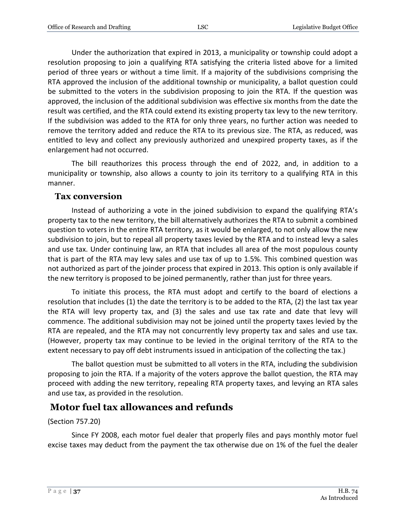Under the authorization that expired in 2013, a municipality or township could adopt a resolution proposing to join a qualifying RTA satisfying the criteria listed above for a limited period of three years or without a time limit. If a majority of the subdivisions comprising the RTA approved the inclusion of the additional township or municipality, a ballot question could be submitted to the voters in the subdivision proposing to join the RTA. If the question was approved, the inclusion of the additional subdivision was effective six months from the date the result was certified, and the RTA could extend its existing property tax levy to the new territory. If the subdivision was added to the RTA for only three years, no further action was needed to remove the territory added and reduce the RTA to its previous size. The RTA, as reduced, was entitled to levy and collect any previously authorized and unexpired property taxes, as if the enlargement had not occurred.

The bill reauthorizes this process through the end of 2022, and, in addition to a municipality or township, also allows a county to join its territory to a qualifying RTA in this manner.

### <span id="page-36-0"></span>**Tax conversion**

Instead of authorizing a vote in the joined subdivision to expand the qualifying RTA's property tax to the new territory, the bill alternatively authorizes the RTA to submit a combined question to voters in the entire RTA territory, as it would be enlarged, to not only allow the new subdivision to join, but to repeal all property taxes levied by the RTA and to instead levy a sales and use tax. Under continuing law, an RTA that includes all area of the most populous county that is part of the RTA may levy sales and use tax of up to 1.5%. This combined question was not authorized as part of the joinder process that expired in 2013. This option is only available if the new territory is proposed to be joined permanently, rather than just for three years.

To initiate this process, the RTA must adopt and certify to the board of elections a resolution that includes (1) the date the territory is to be added to the RTA, (2) the last tax year the RTA will levy property tax, and (3) the sales and use tax rate and date that levy will commence. The additional subdivision may not be joined until the property taxes levied by the RTA are repealed, and the RTA may not concurrently levy property tax and sales and use tax. (However, property tax may continue to be levied in the original territory of the RTA to the extent necessary to pay off debt instruments issued in anticipation of the collecting the tax.)

The ballot question must be submitted to all voters in the RTA, including the subdivision proposing to join the RTA. If a majority of the voters approve the ballot question, the RTA may proceed with adding the new territory, repealing RTA property taxes, and levying an RTA sales and use tax, as provided in the resolution.

# <span id="page-36-1"></span>**Motor fuel tax allowances and refunds**

#### (Section 757.20)

Since FY 2008, each motor fuel dealer that properly files and pays monthly motor fuel excise taxes may deduct from the payment the tax otherwise due on 1% of the fuel the dealer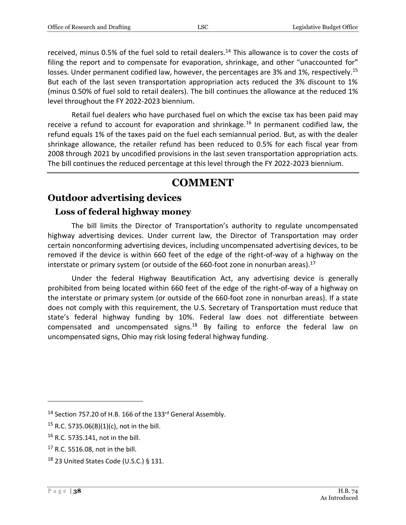received, minus 0.5% of the fuel sold to retail dealers.<sup>14</sup> This allowance is to cover the costs of filing the report and to compensate for evaporation, shrinkage, and other "unaccounted for" losses. Under permanent codified law, however, the percentages are 3% and 1%, respectively.<sup>15</sup> But each of the last seven transportation appropriation acts reduced the 3% discount to 1% (minus 0.50% of fuel sold to retail dealers). The bill continues the allowance at the reduced 1% level throughout the FY 2022-2023 biennium.

Retail fuel dealers who have purchased fuel on which the excise tax has been paid may receive a refund to account for evaporation and shrinkage.<sup>16</sup> In permanent codified law, the refund equals 1% of the taxes paid on the fuel each semiannual period. But, as with the dealer shrinkage allowance, the retailer refund has been reduced to 0.5% for each fiscal year from 2008 through 2021 by uncodified provisions in the last seven transportation appropriation acts. The bill continues the reduced percentage at this level through the FY 2022-2023 biennium.

# **COMMENT**

# <span id="page-37-0"></span>**Outdoor advertising devices**

# <span id="page-37-1"></span>**Loss of federal highway money**

The bill limits the Director of Transportation's authority to regulate uncompensated highway advertising devices. Under current law, the Director of Transportation may order certain nonconforming advertising devices, including uncompensated advertising devices, to be removed if the device is within 660 feet of the edge of the right-of-way of a highway on the interstate or primary system (or outside of the 660-foot zone in nonurban areas). $^{17}$ 

Under the federal Highway Beautification Act, any advertising device is generally prohibited from being located within 660 feet of the edge of the right-of-way of a highway on the interstate or primary system (or outside of the 660-foot zone in nonurban areas). If a state does not comply with this requirement, the U.S. Secretary of Transportation must reduce that state's federal highway funding by 10%. Federal law does not differentiate between compensated and uncompensated signs.<sup>18</sup> By failing to enforce the federal law on uncompensated signs, Ohio may risk losing federal highway funding.

<sup>&</sup>lt;sup>14</sup> Section 757.20 of H.B. 166 of the 133<sup>rd</sup> General Assembly.

<sup>&</sup>lt;sup>15</sup> R.C. 5735.06(B)(1)(c), not in the bill.

<sup>16</sup> R.C. 5735.141, not in the bill.

 $17$  R.C. 5516.08, not in the bill.

 $18$  23 United States Code (U.S.C.) § 131.